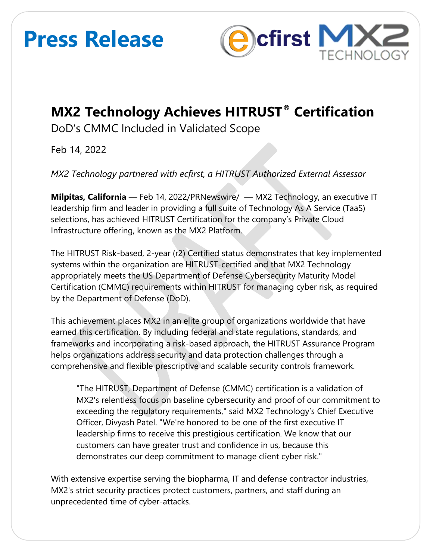# **Press Release**



### **MX2 Technology Achieves HITRUST® Certification**

DoD's CMMC Included in Validated Scope

Feb 14, 2022

*MX2 Technology partnered with ecfirst, a HITRUST Authorized External Assessor*

**Milpitas, California** — Feb 14, 2022/PRNewswire/ — MX2 Technology, an executive IT leadership firm and leader in providing a full suite of Technology As A Service (TaaS) selections, has achieved HITRUST Certification for the company's Private Cloud Infrastructure offering, known as the MX2 Platform.

The HITRUST Risk-based, 2-year (r2) Certified status demonstrates that key implemented systems within the organization are HITRUST-certified and that MX2 Technology appropriately meets the US Department of Defense Cybersecurity Maturity Model Certification (CMMC) requirements within HITRUST for managing cyber risk, as required by the Department of Defense (DoD).

This achievement places MX2 in an elite group of organizations worldwide that have earned this certification. By including federal and state regulations, standards, and frameworks and incorporating a risk-based approach, the HITRUST Assurance Program helps organizations address security and data protection challenges through a comprehensive and flexible prescriptive and scalable security controls framework.

"The HITRUST, Department of Defense (CMMC) certification is a validation of MX2's relentless focus on baseline cybersecurity and proof of our commitment to exceeding the regulatory requirements," said MX2 Technology's Chief Executive Officer, Divyash Patel. "We're honored to be one of the first executive IT leadership firms to receive this prestigious certification. We know that our customers can have greater trust and confidence in us, because this demonstrates our deep commitment to manage client cyber risk."

With extensive expertise serving the biopharma, IT and defense contractor industries, MX2's strict security practices protect customers, partners, and staff during an unprecedented time of cyber-attacks.